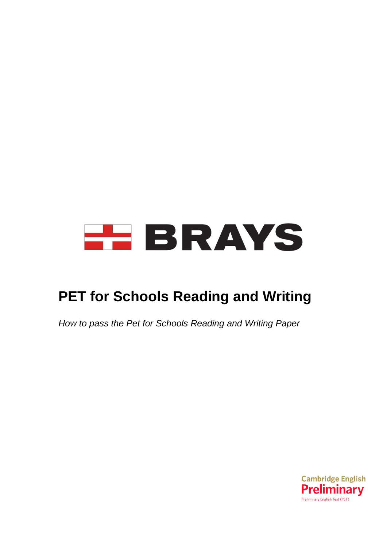# **HEBRAYS**

# **PET for Schools Reading and Writing**

*How to pass the Pet for Schools Reading and Writing Paper*

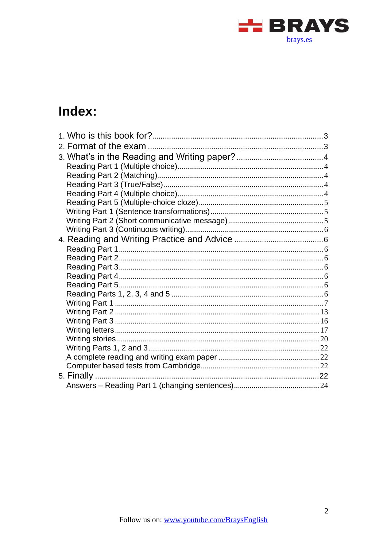

# Index: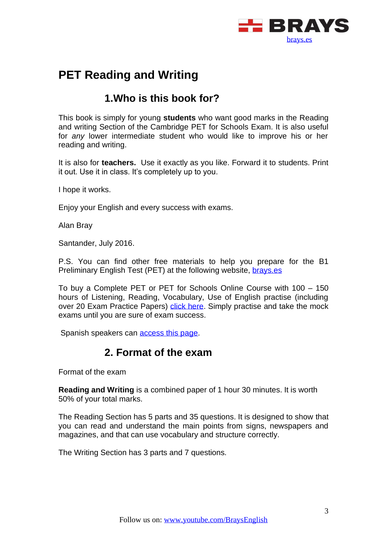

## **PET Reading and Writing**

## **1.Who is this book for?**

<span id="page-2-0"></span>This book is simply for young **students** who want good marks in the Reading and writing Section of the Cambridge PET for Schools Exam. It is also useful for *any* lower intermediate student who would like to improve his or her reading and writing.

It is also for **teachers.** Use it exactly as you like. Forward it to students. Print it out. Use it in class. It's completely up to you.

I hope it works.

Enjoy your English and every success with exams.

Alan Bray

Santander, July 2016.

P.S. You can find other free materials to help you prepare for the B1 Preliminary English Test (PET) at the following website, [brays.es](http://brays.es/)

To buy a Complete PET or PET for Schools Online Course with 100 – 150 hours of Listening, Reading, Vocabulary, Use of English practise (including over 20 Exam Practice Papers) [click here.](https://brays.es/online/descripcion/) Simply practise and take the mock exams until you are sure of exam success.

<span id="page-2-1"></span>Spanish speakers can [access this page.](https://brays.es/online/descripcion/)

## **2. Format of the exam**

Format of the exam

**Reading and Writing** is a combined paper of 1 hour 30 minutes. It is worth 50% of your total marks.

The Reading Section has 5 parts and 35 questions. It is designed to show that you can read and understand the main points from signs, newspapers and magazines, and that can use vocabulary and structure correctly.

The Writing Section has 3 parts and 7 questions.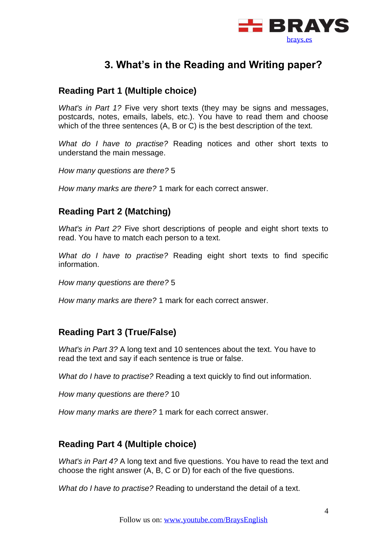

## **3. What's in the Reading and Writing paper?**

## <span id="page-3-1"></span><span id="page-3-0"></span>**Reading Part 1 (Multiple choice)**

*What's in Part 1?* Five very short texts (they may be signs and messages, postcards, notes, emails, labels, etc.). You have to read them and choose which of the three sentences (A, B or C) is the best description of the text.

*What do I have to practise?* Reading notices and other short texts to understand the main message.

*How many questions are there?* 5

*How many marks are there?* 1 mark for each correct answer.

## <span id="page-3-2"></span>**Reading Part 2 (Matching)**

*What's in Part 2?* Five short descriptions of people and eight short texts to read. You have to match each person to a text.

*What do I have to practise?* Reading eight short texts to find specific information.

*How many questions are there?* 5

*How many marks are there?* 1 mark for each correct answer.

## <span id="page-3-3"></span>**Reading Part 3 (True/False)**

*What's in Part 3?* A long text and 10 sentences about the text. You have to read the text and say if each sentence is true or false.

*What do I have to practise?* Reading a text quickly to find out information.

*How many questions are there?* 10

*How many marks are there?* 1 mark for each correct answer.

## <span id="page-3-4"></span>**Reading Part 4 (Multiple choice)**

*What's in Part 4?* A long text and five questions. You have to read the text and choose the right answer (A, B, C or D) for each of the five questions.

*What do I have to practise?* Reading to understand the detail of a text.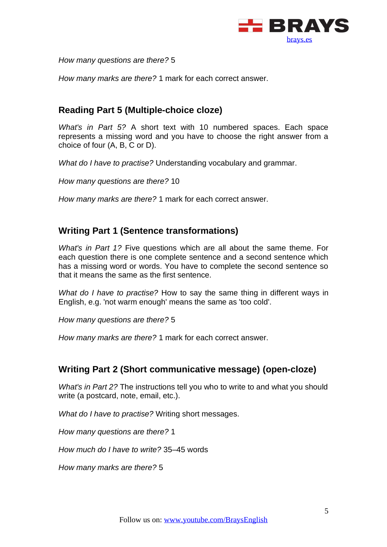

*How many questions are there?* 5

*How many marks are there?* 1 mark for each correct answer.

## <span id="page-4-0"></span>**Reading Part 5 (Multiple-choice cloze)**

*What's in Part 5?* A short text with 10 numbered spaces. Each space represents a missing word and you have to choose the right answer from a choice of four (A, B, C or D).

*What do I have to practise?* Understanding vocabulary and grammar.

*How many questions are there?* 10

*How many marks are there?* 1 mark for each correct answer.

## <span id="page-4-1"></span>**Writing Part 1 (Sentence transformations)**

*What's in Part 1?* Five questions which are all about the same theme. For each question there is one complete sentence and a second sentence which has a missing word or words. You have to complete the second sentence so that it means the same as the first sentence.

*What do I have to practise?* How to say the same thing in different ways in English, e.g. 'not warm enough' means the same as 'too cold'.

*How many questions are there?* 5

*How many marks are there?* 1 mark for each correct answer.

#### <span id="page-4-2"></span>**Writing Part 2 (Short communicative message) (open-cloze)**

*What's in Part 2?* The instructions tell you who to write to and what you should write (a postcard, note, email, etc.).

*What do I have to practise?* Writing short messages.

*How many questions are there?* 1

*How much do I have to write?* 35–45 words

*How many marks are there?* 5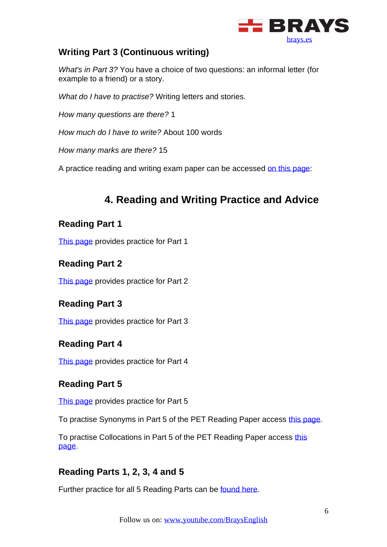

## <span id="page-5-0"></span>**Writing Part 3 (Continuous writing)**

*What's in Part 3?* You have a choice of two questions: an informal letter (for example to a friend) or a story.

*What do I have to practise?* Writing letters and stories.

*How many questions are there?* 1

*How much do I have to write?* About 100 words

*How many marks are there?* 15

A practice reading and writing exam paper can be accessed [on this page:](http://www.cambridgeenglish.org/exams/preliminary/exam-format/)

## **4. Reading and Writing Practice and Advice**

## <span id="page-5-2"></span><span id="page-5-1"></span>**Reading Part 1**

[This page](http://www.flo-joe.co.uk/preliminaryenglish/reading/pet_reading_part_1_practice_test.htm) provides practice for Part 1

## <span id="page-5-3"></span>**Reading Part 2**

[This page](http://www.flo-joe.co.uk/preliminaryenglish/reading/pet_reading_practise_test_part_2.htm) provides practice for Part 2

## <span id="page-5-4"></span>**Reading Part 3**

[This page](http://www.flo-joe.co.uk/preliminaryenglish/reading/pet_reading_part_3_practice_test.htm) provides practice for Part 3

## <span id="page-5-5"></span>**Reading Part 4**

[This page](http://www.flo-joe.co.uk/preliminaryenglish/reading/pet_reading_part_4_practice_test.htm) provides practice for Part 4

## <span id="page-5-6"></span>**Reading Part 5**

[This page](http://www.flo-joe.co.uk/preliminaryenglish/reading/pet_reading_practise_test_part_5.htm) provides practice for Part 5

To practise Synonyms in Part 5 of the PET Reading Paper access [this page.](http://www.flo-joe.co.uk/preliminaryenglish/vocabulary/pet-synonyms.htm)

To practise Collocations in Part 5 of the PET Reading Paper access this [page.](http://www.flo-joe.co.uk/preliminaryenglish/vocabulary/pet-collocations.htm)

## <span id="page-5-7"></span>**Reading Parts 1, 2, 3, 4 and 5**

Further practice for all 5 Reading Parts can be [found here.](http://www.englishaula.com/en/pet-exam-reading-cambridge-preliminary-english-test-video-lessons-practice-tests-exercises.php)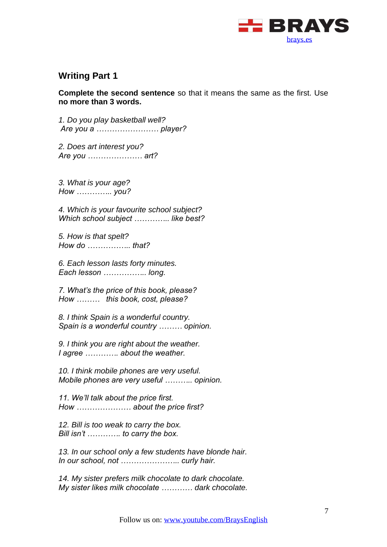

## <span id="page-6-0"></span>**Writing Part 1**

**Complete the second sentence** so that it means the same as the first. Use **no more than 3 words.**

*1. Do you play basketball well? Are you a …………………… player?*

*2. Does art interest you? Are you ………………… art?*

*3. What is your age? How ………….. you?*

*4. Which is your favourite school subject? Which school subject ………….. like best?*

*5. How is that spelt? How do …………….. that?*

*6. Each lesson lasts forty minutes. Each lesson …………….. long.*

*7. What's the price of this book, please? How ……… this book, cost, please?*

*8. I think Spain is a wonderful country. Spain is a wonderful country ……… opinion.*

*9. I think you are right about the weather. I agree …………. about the weather.*

*10. I think mobile phones are very useful. Mobile phones are very useful ……….. opinion.*

*11. We'll talk about the price first. How ………………… about the price first?*

*12. Bill is too weak to carry the box. Bill isn't …………. to carry the box.*

*13. In our school only a few students have blonde hair. In our school, not ………………….. curly hair.*

*14. My sister prefers milk chocolate to dark chocolate. My sister likes milk chocolate ………… dark chocolate.*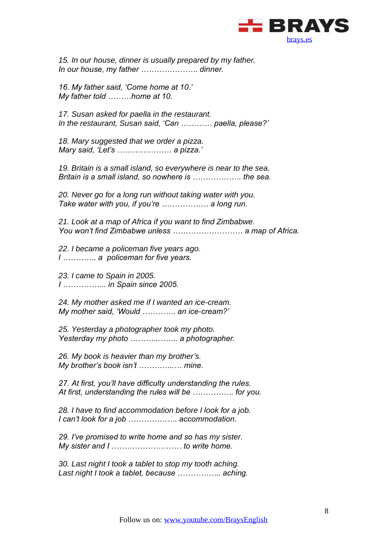

*15. In our house, dinner is usually prepared by my father. In our house, my father …………………. dinner.*

*16. My father said, 'Come home at 10.' My father told ………home at 10.*

*17. Susan asked for paella in the restaurant. In the restaurant, Susan said, 'Can ………… paella, please?'*

*18. Mary suggested that we order a pizza. Mary said, 'Let's ………………… a pizza.'*

*19. Britain is a small island, so everywhere is near to the sea. Britain is a small island, so nowhere is ………………. the sea.*

*20. Never go for a long run without taking water with you. Take water with you, if you're ……………… a long run.*

*21. Look at a map of Africa if you want to find Zimbabwe. You won't find Zimbabwe unless ……………………… a map of Africa.*

*22. I became a policeman five years ago. I …………. a policeman for five years.*

*23. I came to Spain in 2005. I …………….. in Spain since 2005.*

*24. My mother asked me if I wanted an ice-cream. My mother said, 'Would …………. an ice-cream?'*

*25. Yesterday a photographer took my photo. Yesterday my photo ………..…….. a photographer.*

*26. My book is heavier than my brother's. My brother's book isn't …………..… mine.*

*27. At first, you'll have difficulty understanding the rules. At first, understanding the rules will be ……………. for you.*

*28. I have to find accommodation before I look for a job. I can't look for a job ………………. accommodation.*

*29. I've promised to write home and so has my sister. My sister and I ……………………… to write home.*

*30. Last night I took a tablet to stop my tooth aching. Last night I took a tablet, because …………….. aching.*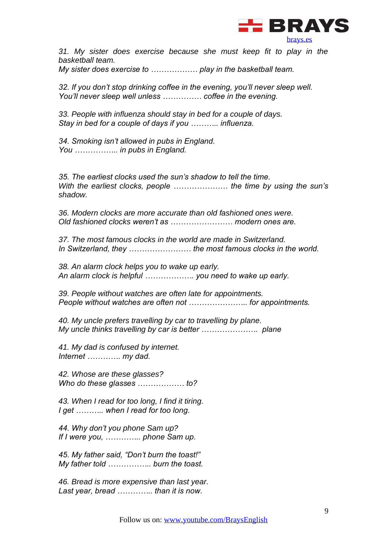

*31. My sister does exercise because she must keep fit to play in the basketball team.*

*My sister does exercise to ……………… play in the basketball team.*

*32. If you don't stop drinking coffee in the evening, you'll never sleep well. You'll never sleep well unless …………… coffee in the evening.*

*33. People with influenza should stay in bed for a couple of days. Stay in bed for a couple of days if you ……….. influenza.*

*34. Smoking isn't allowed in pubs in England. You …………….. in pubs in England.*

*35. The earliest clocks used the sun's shadow to tell the time. With the earliest clocks, people ………………… the time by using the sun's shadow.*

*36. Modern clocks are more accurate than old fashioned ones were. Old fashioned clocks weren't as …………………… modern ones are.*

*37. The most famous clocks in the world are made in Switzerland. In Switzerland, they …………………… the most famous clocks in the world.*

*38. An alarm clock helps you to wake up early. An alarm clock is helpful ………………. you need to wake up early.*

*39. People without watches are often late for appointments. People without watches are often not ………………….. for appointments.*

*40. My uncle prefers travelling by car to travelling by plane. My uncle thinks travelling by car is better …………………. plane*

*41. My dad is confused by internet. Internet …………. my dad.*

*42. Whose are these glasses? Who do these glasses ……………… to?*

*43. When I read for too long, I find it tiring. I get ……….. when I read for too long.*

*44. Why don't you phone Sam up? If I were you, ………….. phone Sam up.*

*45. My father said, "Don't burn the toast!" My father told …………….. burn the toast.*

*46. Bread is more expensive than last year. Last year, bread ………….. than it is now.*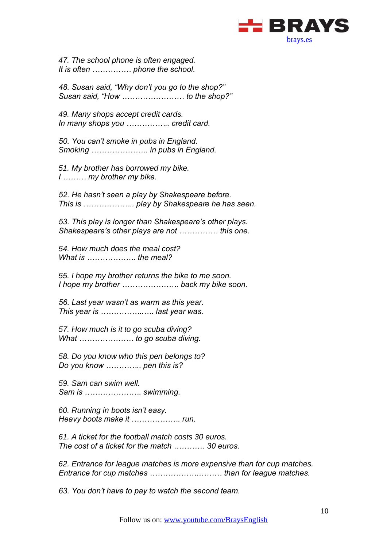

*47. The school phone is often engaged. It is often …………… phone the school.*

*48. Susan said, "Why don't you go to the shop?" Susan said, "How …………………… to the shop?"*

*49. Many shops accept credit cards. In many shops you …………….. credit card.*

*50. You can't smoke in pubs in England. Smoking …………………. in pubs in England.*

*51. My brother has borrowed my bike. I ……… my brother my bike.*

*52. He hasn't seen a play by Shakespeare before. This is ……………….. play by Shakespeare he has seen.*

*53. This play is longer than Shakespeare's other plays. Shakespeare's other plays are not …………… this one.*

*54. How much does the meal cost? What is ………………. the meal?*

*55. I hope my brother returns the bike to me soon. I hope my brother …………………. back my bike soon.*

*56. Last year wasn't as warm as this year. This year is ……………..…. last year was.*

*57. How much is it to go scuba diving? What ………………… to go scuba diving.*

*58. Do you know who this pen belongs to? Do you know ………….. pen this is?*

*59. Sam can swim well. Sam is …………………. swimming.*

*60. Running in boots isn't easy. Heavy boots make it ………………. run.*

*61. A ticket for the football match costs 30 euros. The cost of a ticket for the match ………… 30 euros.*

*62. Entrance for league matches is more expensive than for cup matches. Entrance for cup matches ……………….……… than for league matches.*

*63. You don't have to pay to watch the second team.*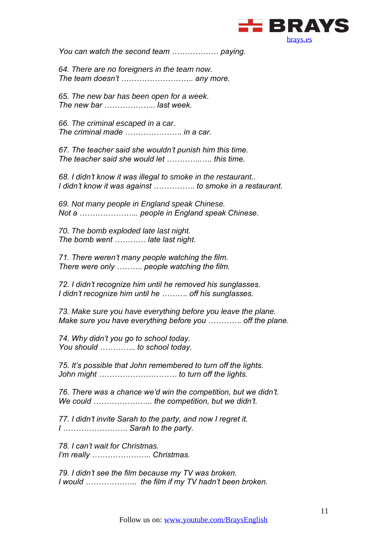

*You can watch the second team ……………… paying.*

*64. There are no foreigners in the team now. The team doesn't ………………………. any more.*

*65. The new bar has been open for a week. The new bar ……………….. last week.*

*66. The criminal escaped in a car. The criminal made …………………. in a car.*

*67. The teacher said she wouldn't punish him this time. The teacher said she would let …………..…. this time.*

*68. I didn't know it was illegal to smoke in the restaurant.. I didn't know it was against ……………. to smoke in a restaurant.*

*69. Not many people in England speak Chinese. Not a ………………….. people in England speak Chinese.*

*70. The bomb exploded late last night. The bomb went ………… late last night.*

*71. There weren't many people watching the film. There were only ………. people watching the film.*

*72. I didn't recognize him until he removed his sunglasses. I didn't recognize him until he ………. off his sunglasses.*

*73. Make sure you have everything before you leave the plane. Make sure you have everything before you …………. off the plane.*

*74. Why didn't you go to school today. You should ………….. to school today.*

*75. It's possible that John remembered to turn off the lights. John might ………………………… to turn off the lights.*

*76. There was a chance we'd win the competition, but we didn't. We could ………………….. the competition, but we didn't.*

*77. I didn't invite Sarah to the party, and now I regret it. I ……………………. Sarah to the party.*

*78. I can't wait for Christmas. I'm really ………………….. Christmas.*

*79. I didn't see the film because my TV was broken. I would ……………….. the film if my TV hadn't been broken.*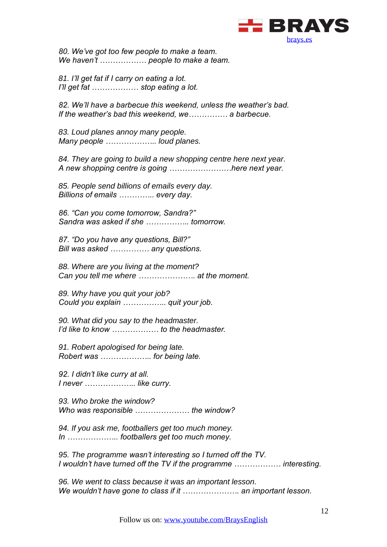

*80. We've got too few people to make a team. We haven't ……………… people to make a team.*

*81. I'll get fat if I carry on eating a lot. I'll get fat ……………… stop eating a lot.*

*82. We'll have a barbecue this weekend, unless the weather's bad. If the weather's bad this weekend, we…………… a barbecue.*

*83. Loud planes annoy many people. Many people ……………….. loud planes.*

*84. They are going to build a new shopping centre here next year. A new shopping centre is going ……………………here next year.*

*85. People send billions of emails every day. Billions of emails ………….. every day.* 

*86. "Can you come tomorrow, Sandra?" Sandra was asked if she …………….. tomorrow.*

*87. "Do you have any questions, Bill?" Bill was asked …………… any questions.*

*88. Where are you living at the moment? Can you tell me where …………………. at the moment.*

*89. Why have you quit your job? Could you explain …………….. quit your job.*

*90. What did you say to the headmaster. I'd like to know ……………… to the headmaster.*

*91. Robert apologised for being late. Robert was ……………….. for being late.*

*92. I didn't like curry at all. I never ……………….. like curry.*

*93. Who broke the window? Who was responsible ………………… the window?*

*94. If you ask me, footballers get too much money. In ……………….. footballers get too much money.*

*95. The programme wasn't interesting so I turned off the TV. I wouldn't have turned off the TV if the programme ……………… interesting.*

*96. We went to class because it was an important lesson. We wouldn't have gone to class if it …………………. an important lesson.*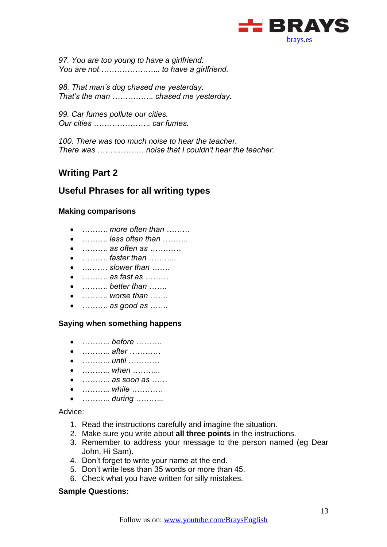

*97. You are too young to have a girlfriend. You are not ………………….. to have a girlfriend.*

*98. That man's dog chased me yesterday. That's the man ……………. chased me yesterday.*

*99. Car fumes pollute our cities. Our cities …………………. car fumes.*

*100. There was too much noise to hear the teacher. There was ……………… noise that I couldn't hear the teacher.*

## <span id="page-12-0"></span>**Writing Part 2**

## **Useful Phrases for all writing types**

#### **Making comparisons**

- *………. more often than ………*
- *………. less often than ……….*
- *………. as often as …………*
- *………. faster than ………..*
- *….…… slower than …….*
- *………. as fast as ………*
- *………. better than …….*
- *………. worse than …….*
- *………. as good as …….*

#### **Saying when something happens**

- *……….. before ……….*
- *……….. after …………*
- *……….. until …………*
- *……….. when ………..*
- *……….. as soon as ……*
- *……….. while …………*
- *……….. during ………..*

Advice:

- 1. Read the instructions carefully and imagine the situation.
- 2. Make sure you write about **all three points** in the instructions.
- 3. Remember to address your message to the person named (eg Dear John, Hi Sam).
- 4. Don't forget to write your name at the end.
- 5. Don't write less than 35 words or more than 45.
- 6. Check what you have written for silly mistakes.

#### **Sample Questions:**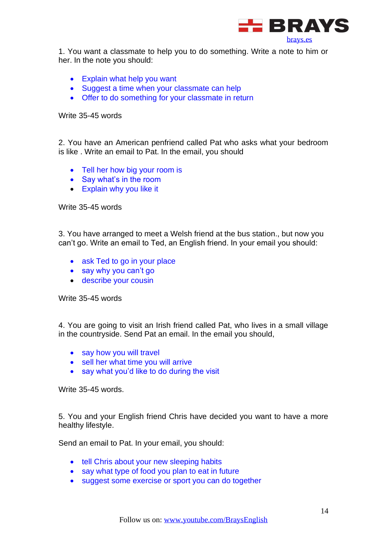

1. You want a classmate to help you to do something. Write a note to him or her. In the note you should:

- Explain what help you want
- Suggest a time when your classmate can help
- Offer to do something for your classmate in return

Write 35-45 words

2. You have an American penfriend called Pat who asks what your bedroom is like . Write an email to Pat. In the email, you should

- Tell her how big your room is
- Say what's in the room
- Explain why you like it

Write 35-45 words

3. You have arranged to meet a Welsh friend at the bus station., but now you can't go. Write an email to Ted, an English friend. In your email you should:

- ask Ted to go in your place
- say why you can't go
- describe your cousin

Write 35-45 words

4. You are going to visit an Irish friend called Pat, who lives in a small village in the countryside. Send Pat an email. In the email you should,

- say how you will travel
- sell her what time you will arrive
- say what you'd like to do during the visit

Write 35-45 words.

5. You and your English friend Chris have decided you want to have a more healthy lifestyle.

Send an email to Pat. In your email, you should:

- tell Chris about your new sleeping habits
- say what type of food you plan to eat in future
- suggest some exercise or sport you can do together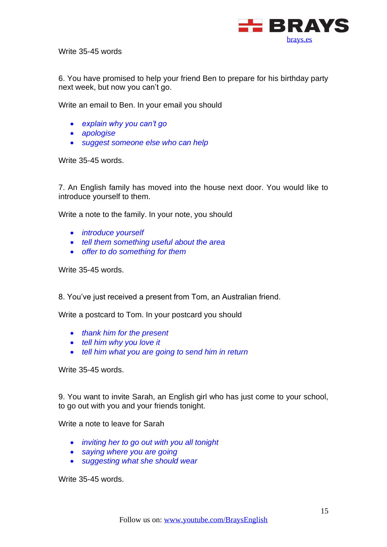

Write 35-45 words

6. You have promised to help your friend Ben to prepare for his birthday party next week, but now you can't go.

Write an email to Ben. In your email you should

- *explain why you can't go*
- *apologise*
- *suggest someone else who can help*

Write 35-45 words.

7. An English family has moved into the house next door. You would like to introduce yourself to them.

Write a note to the family. In your note, you should

- *introduce yourself*
- *tell them something useful about the area*
- *offer to do something for them*

Write 35-45 words.

8. You've just received a present from Tom, an Australian friend.

Write a postcard to Tom. In your postcard you should

- *thank him for the present*
- *tell him why you love it*
- *tell him what you are going to send him in return*

Write 35-45 words.

9. You want to invite Sarah, an English girl who has just come to your school, to go out with you and your friends tonight.

Write a note to leave for Sarah

- *inviting her to go out with you all tonight*
- *saying where you are going*
- *suggesting what she should wear*

Write 35-45 words.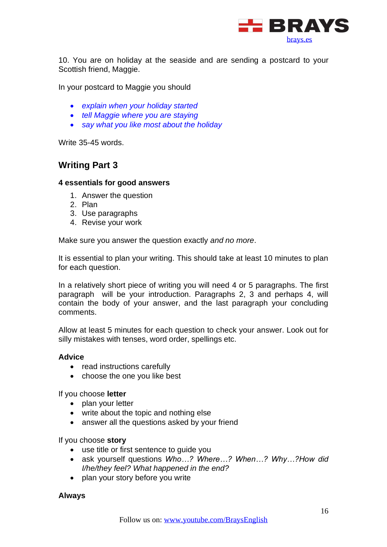

10. You are on holiday at the seaside and are sending a postcard to your Scottish friend, Maggie.

In your postcard to Maggie you should

- *explain when your holiday started*
- *tell Maggie where you are staying*
- *say what you like most about the holiday*

Write 35-45 words.

## <span id="page-15-0"></span>**Writing Part 3**

#### **4 essentials for good answers**

- 1. Answer the question
- 2. Plan
- 3. Use paragraphs
- 4. Revise your work

Make sure you answer the question exactly *and no more*.

It is essential to plan your writing. This should take at least 10 minutes to plan for each question.

In a relatively short piece of writing you will need 4 or 5 paragraphs. The first paragraph will be your introduction. Paragraphs 2, 3 and perhaps 4, will contain the body of your answer, and the last paragraph your concluding comments.

Allow at least 5 minutes for each question to check your answer. Look out for silly mistakes with tenses, word order, spellings etc.

#### **Advice**

- read instructions carefully
- choose the one you like best

If you choose **letter** 

- plan your letter
- write about the topic and nothing else
- answer all the questions asked by your friend

If you choose **story**

- use title or first sentence to guide you
- ask yourself questions *Who…? Where…? When…? Why…?How did I/he/they feel? What happened in the end?*
- plan your story before you write

#### **Always**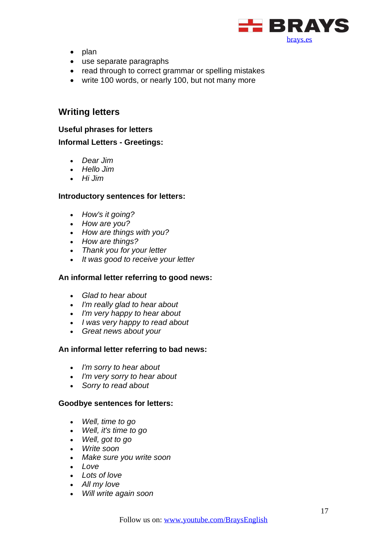

- plan
- use separate paragraphs
- read through to correct grammar or spelling mistakes
- write 100 words, or nearly 100, but not many more

#### <span id="page-16-0"></span>**Writing letters**

#### **Useful phrases for letters**

#### **Informal Letters - Greetings:**

- *Dear Jim*
- *Hello Jim*
- *Hi Jim*

#### **Introductory sentences for letters:**

- *How's it going?*
- *How are you?*
- *How are things with you?*
- *How are things?*
- *Thank you for your letter*
- *It was good to receive your letter*

#### **An informal letter referring to good news:**

- *Glad to hear about*
- *I'm really glad to hear about*
- *I'm very happy to hear about*
- *I was very happy to read about*
- *Great news about your*

#### **An informal letter referring to bad news:**

- *I'm sorry to hear about*
- *I'm very sorry to hear about*
- *Sorry to read about*

#### **Goodbye sentences for letters:**

- *Well, time to go*
- *Well, it's time to go*
- *Well, got to go*
- *Write soon*
- *Make sure you write soon*
- *Love*
- *Lots of love*
- *All my love*
- *Will write again soon*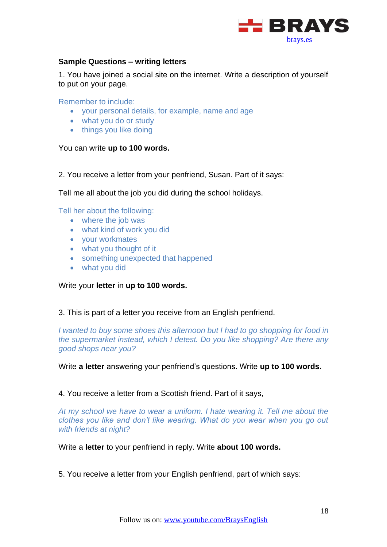

#### **Sample Questions – writing letters**

1. You have joined a social site on the internet. Write a description of yourself to put on your page.

Remember to include:

- your personal details, for example, name and age
- what you do or study
- things you like doing

You can write **up to 100 words.**

2. You receive a letter from your penfriend, Susan. Part of it says:

Tell me all about the job you did during the school holidays.

Tell her about the following:

- where the job was
- what kind of work you did
- your workmates
- what you thought of it
- something unexpected that happened
- what you did

Write your **letter** in **up to 100 words.**

3. This is part of a letter you receive from an English penfriend.

*I wanted to buy some shoes this afternoon but I had to go shopping for food in the supermarket instead, which I detest. Do you like shopping? Are there any good shops near you?*

Write **a letter** answering your penfriend's questions. Write **up to 100 words.**

4. You receive a letter from a Scottish friend. Part of it says,

*At my school we have to wear a uniform. I hate wearing it. Tell me about the clothes you like and don't like wearing. What do you wear when you go out with friends at night?*

Write a **letter** to your penfriend in reply. Write **about 100 words.**

5. You receive a letter from your English penfriend, part of which says: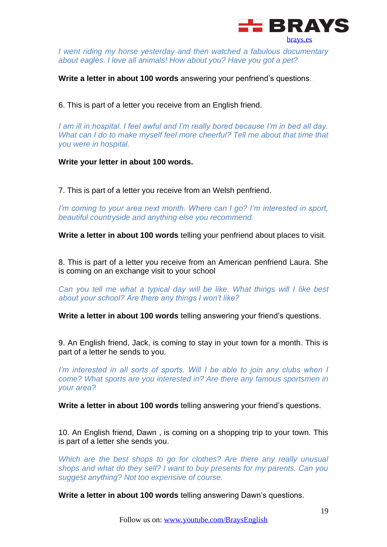

*I went riding my horse yesterday and then watched a fabulous documentary about eagles. I love all animals! How about you? Have you got a pet?*

**Write a letter in about 100 words** answering your penfriend's questions.

6. This is part of a letter you receive from an English friend.

*I am ill in hospital. I feel awful and I'm really bored because I'm in bed all day. What can I do to make myself feel more cheerful? Tell me about that time that you were in hospital.* 

**Write your letter in about 100 words.**

7. This is part of a letter you receive from an Welsh penfriend.

*I'm coming to your area next month. Where can I go? I'm interested in sport, beautiful countryside and anything else you recommend.*

**Write a letter in about 100 words** telling your penfriend about places to visit.

8. This is part of a letter you receive from an American penfriend Laura. She is coming on an exchange visit to your school

*Can you tell me what a typical day will be like. What things will I like best about your school? Are there any things I won't like?*

**Write a letter in about 100 words** telling answering your friend's questions.

9. An English friend, Jack, is coming to stay in your town for a month. This is part of a letter he sends to you.

*I'm interested in all sorts of sports. Will I be able to join any clubs when I come? What sports are you interested in? Are there any famous sportsmen in your area?*

**Write a letter in about 100 words** telling answering your friend's questions.

10. An English friend, Dawn , is coming on a shopping trip to your town. This is part of a letter she sends you.

*Which are the best shops to go for clothes? Are there any really unusual shops and what do they sell? I want to buy presents for my parents. Can you suggest anything? Not too expensive of course.* 

**Write a letter in about 100 words** telling answering Dawn's questions.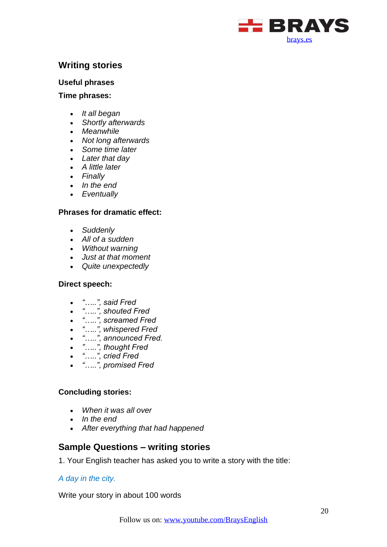

## <span id="page-19-0"></span>**Writing stories**

#### **Useful phrases**

**Time phrases:**

- *It all began*
- *Shortly afterwards*
- *Meanwhile*
- *Not long afterwards*
- *Some time later*
- *Later that day*
- *A little later*
- *Finally*
- *In the end*
- *Eventually*

#### **Phrases for dramatic effect:**

- *Suddenly*
- *All of a sudden*
- *Without warning*
- *Just at that moment*
- *Quite unexpectedly*

#### **Direct speech:**

- *"…..", said Fred*
- *"…..", shouted Fred*
- *"…..", screamed Fred*
- *"…..", whispered Fred*
- *"…..", announced Fred.*
- *"…..", thought Fred*
- *"…..", cried Fred*
- *"…..", promised Fred*

#### **Concluding stories:**

- *When it was all over*
- *In the end*
- *After everything that had happened*

## **Sample Questions – writing stories**

1. Your English teacher has asked you to write a story with the title:

#### *A day in the city.*

Write your story in about 100 words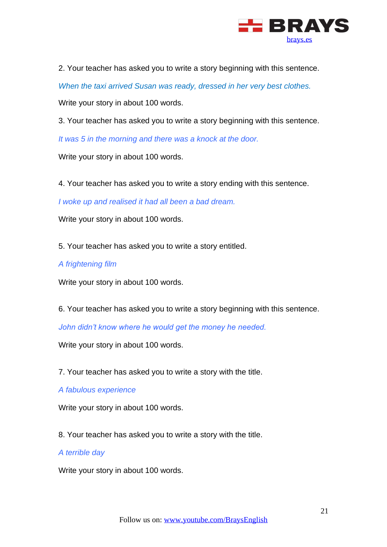

2. Your teacher has asked you to write a story beginning with this sentence.

*When the taxi arrived Susan was ready, dressed in her very best clothes.*

Write your story in about 100 words.

3. Your teacher has asked you to write a story beginning with this sentence.

*It was 5 in the morning and there was a knock at the door.*

Write your story in about 100 words.

4. Your teacher has asked you to write a story ending with this sentence.

*I woke up and realised it had all been a bad dream.*

Write your story in about 100 words.

5. Your teacher has asked you to write a story entitled.

#### *A frightening film*

Write your story in about 100 words.

6. Your teacher has asked you to write a story beginning with this sentence.

*John didn't know where he would get the money he needed.*

Write your story in about 100 words.

7. Your teacher has asked you to write a story with the title.

*A fabulous experience*

Write your story in about 100 words.

8. Your teacher has asked you to write a story with the title.

*A terrible day*

Write your story in about 100 words.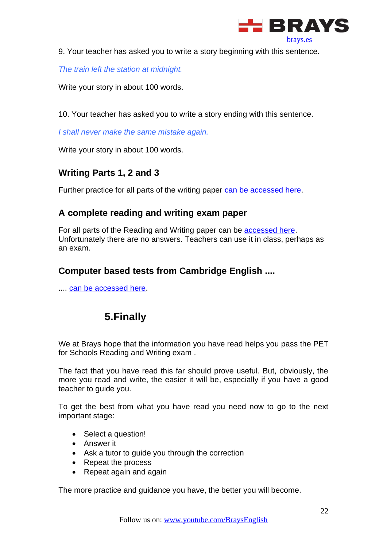

9. Your teacher has asked you to write a story beginning with this sentence.

*The train left the station at midnight.*

Write your story in about 100 words.

10. Your teacher has asked you to write a story ending with this sentence.

*I shall never make the same mistake again.*

Write your story in about 100 words.

## <span id="page-21-0"></span>**Writing Parts 1, 2 and 3**

Further practice for all parts of the writing paper [can be accessed here.](http://www.englishaula.com/en/pet-exam-writing-cambridge-preliminary-english-test-video-lessons-practice-tests-exercises.php)

## <span id="page-21-1"></span>**A complete reading and writing exam paper**

For all parts of the Reading and Writing paper can be [accessed here.](http://www.consolacioncaravaca.es/ProgramaBeda/data/docs/PET/PET_READWRITE.pdf) Unfortunately there are no answers. Teachers can use it in class, perhaps as an exam.

## <span id="page-21-2"></span>**Computer based tests from Cambridge English ....**

<span id="page-21-3"></span>.... [can be accessed here.](http://www.cambridgeenglish.org/exams/preliminary/preparation/)

## **5.Finally**

We at Brays hope that the information you have read helps you pass the PET for Schools Reading and Writing exam .

The fact that you have read this far should prove useful. But, obviously, the more you read and write, the easier it will be, especially if you have a good teacher to guide you.

To get the best from what you have read you need now to go to the next important stage:

- Select a question!
- Answer it
- Ask a tutor to guide you through the correction
- Repeat the process
- Repeat again and again

The more practice and guidance you have, the better you will become.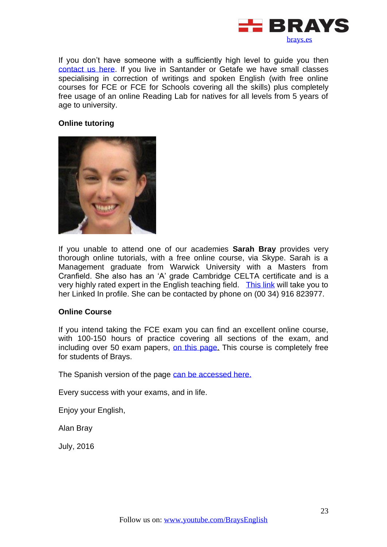

If you don't have someone with a sufficiently high level to guide you then [contact us here.](http://brays.es/contacto) If you live in Santander or Getafe we have small classes specialising in correction of writings and spoken English (with free online courses for FCE or FCE for Schools covering all the skills) plus completely free usage of an online Reading Lab for natives for all levels from 5 years of age to university.

#### **Online tutoring**



If you unable to attend one of our academies **Sarah Bray** provides very thorough online tutorials, with a free online course, via Skype. Sarah is a Management graduate from Warwick University with a Masters from Cranfield. She also has an 'A' grade Cambridge CELTA certificate and is a very highly rated expert in the English teaching field. [This link](https://www.linkedin.com/in/sarahbrayesl/en) will take you to her Linked In profile. She can be contacted by phone on (00 34) 916 823977.

#### **Online Course**

If you intend taking the FCE exam you can find an excellent online course, with 100-150 hours of practice covering all sections of the exam, and including over 50 exam papers, [on this page.](https://brays.es/online/descripcion/) This course is completely free for students of Brays.

The Spanish version of the page [can be accessed here.](https://brays.es/online/descripcion/)

Every success with your exams, and in life.

Enjoy your English,

Alan Bray

July, 2016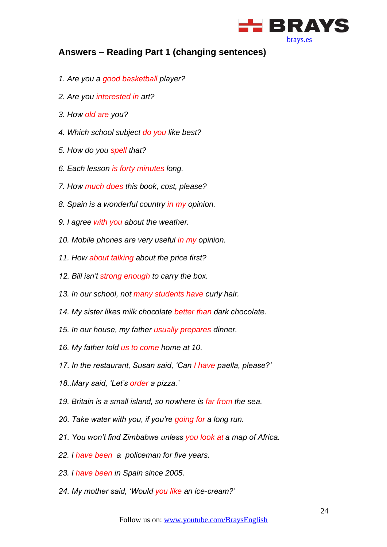

## <span id="page-23-0"></span>**Answers – Reading Part 1 (changing sentences)**

- *1. Are you a good basketball player?*
- *2. Are you interested in art?*
- *3. How old are you?*
- *4. Which school subject do you like best?*
- *5. How do you spell that?*
- *6. Each lesson is forty minutes long.*
- *7. How much does this book, cost, please?*
- *8. Spain is a wonderful country in my opinion.*
- *9. I agree with you about the weather.*
- *10. Mobile phones are very useful in my opinion.*
- *11. How about talking about the price first?*
- *12. Bill isn't strong enough to carry the box.*
- *13. In our school, not many students have curly hair.*
- *14. My sister likes milk chocolate better than dark chocolate.*
- *15. In our house, my father usually prepares dinner.*
- *16. My father told us to come home at 10.*
- *17. In the restaurant, Susan said, 'Can I have paella, please?'*
- *18..Mary said, 'Let's order a pizza.'*
- *19. Britain is a small island, so nowhere is far from the sea.*
- *20. Take water with you, if you're going for a long run.*
- *21. You won't find Zimbabwe unless you look at a map of Africa.*
- *22. I have been a policeman for five years.*
- *23. I have been in Spain since 2005.*
- *24. My mother said, 'Would you like an ice-cream?'*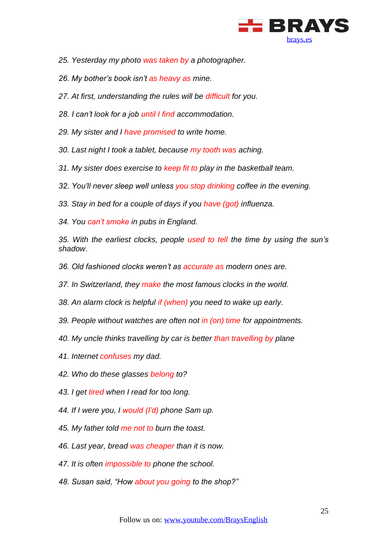

- *25. Yesterday my photo was taken by a photographer.*
- *26. My bother's book isn't as heavy as mine.*
- *27. At first, understanding the rules will be difficult for you.*
- *28. I can't look for a job until I find accommodation.*
- *29. My sister and I have promised to write home.*
- *30. Last night I took a tablet, because my tooth was aching.*
- *31. My sister does exercise to keep fit to play in the basketball team.*
- *32. You'll never sleep well unless you stop drinking coffee in the evening.*
- *33. Stay in bed for a couple of days if you have (got) influenza.*
- *34. You can't smoke in pubs in England.*

*35. With the earliest clocks, people used to tell the time by using the sun's shadow.*

- *36. Old fashioned clocks weren't as accurate as modern ones are.*
- *37. In Switzerland, they make the most famous clocks in the world.*
- *38. An alarm clock is helpful if (when) you need to wake up early.*
- *39. People without watches are often not in (on) time for appointments.*
- *40. My uncle thinks travelling by car is better than travelling by plane*
- *41. Internet confuses my dad.*
- *42. Who do these glasses belong to?*
- *43. I get tired when I read for too long.*
- *44. If I were you, I would (I'd) phone Sam up.*
- *45. My father told me not to burn the toast.*
- *46. Last year, bread was cheaper than it is now.*
- *47. It is often impossible to phone the school.*
- *48. Susan said, "How about you going to the shop?"*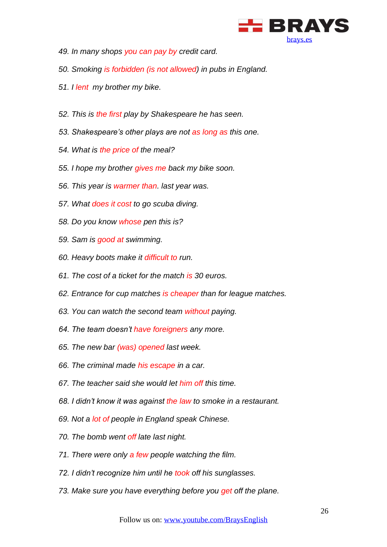

- *49. In many shops you can pay by credit card.*
- *50. Smoking is forbidden (is not allowed) in pubs in England.*
- *51. I lent my brother my bike.*
- *52. This is the first play by Shakespeare he has seen.*
- *53. Shakespeare's other plays are not as long as this one.*
- *54. What is the price of the meal?*
- *55. I hope my brother gives me back my bike soon.*
- *56. This year is warmer than. last year was.*
- *57. What does it cost to go scuba diving.*
- *58. Do you know whose pen this is?*
- *59. Sam is good at swimming.*
- *60. Heavy boots make it difficult to run.*
- *61. The cost of a ticket for the match is 30 euros.*
- *62. Entrance for cup matches is cheaper than for league matches.*
- *63. You can watch the second team without paying.*
- *64. The team doesn't have foreigners any more.*
- *65. The new bar (was) opened last week.*
- *66. The criminal made his escape in a car.*
- *67. The teacher said she would let him off this time.*
- *68. I didn't know it was against the law to smoke in a restaurant.*
- *69. Not a lot of people in England speak Chinese.*
- *70. The bomb went off late last night.*
- *71. There were only a few people watching the film.*
- *72. I didn't recognize him until he took off his sunglasses.*
- *73. Make sure you have everything before you get off the plane.*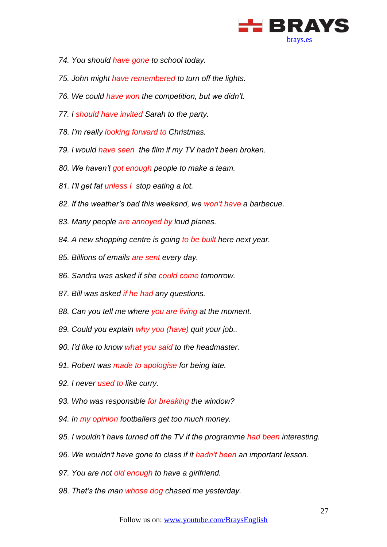

- *74. You should have gone to school today.*
- *75. John might have remembered to turn off the lights.*
- *76. We could have won the competition, but we didn't.*
- *77. I should have invited Sarah to the party.*
- *78. I'm really looking forward to Christmas.*
- *79. I would have seen the film if my TV hadn't been broken.*
- *80. We haven't got enough people to make a team.*
- *81. I'll get fat unless I stop eating a lot.*
- *82. If the weather's bad this weekend, we won't have a barbecue.*
- *83. Many people are annoyed by loud planes.*
- *84. A new shopping centre is going to be built here next year.*
- *85. Billions of emails are sent every day.*
- *86. Sandra was asked if she could come tomorrow.*
- *87. Bill was asked if he had any questions.*
- *88. Can you tell me where you are living at the moment.*
- *89. Could you explain why you (have) quit your job..*
- *90. I'd like to know what you said to the headmaster.*
- *91. Robert was made to apologise for being late.*
- *92. I never used to like curry.*
- *93. Who was responsible for breaking the window?*
- *94. In my opinion footballers get too much money.*
- *95. I wouldn't have turned off the TV if the programme had been interesting.*
- *96. We wouldn't have gone to class if it hadn't been an important lesson.*
- *97. You are not old enough to have a girlfriend.*
- *98. That's the man whose dog chased me yesterday.*